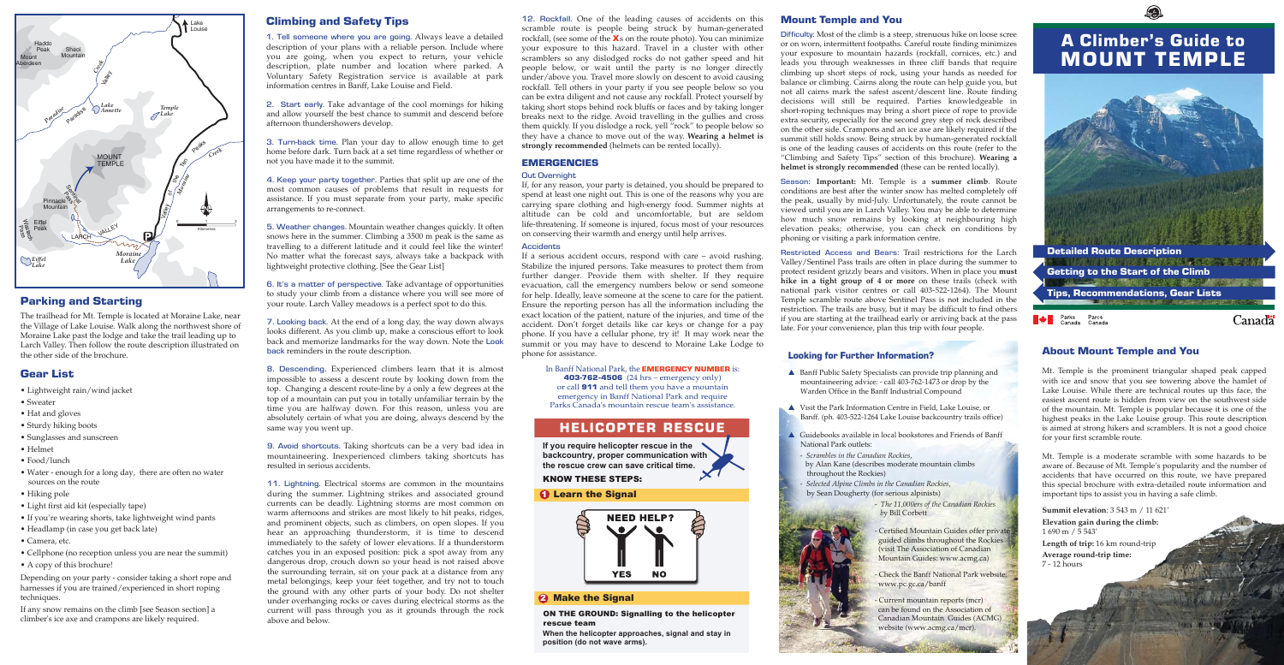### Mount Temple and You

Difficulty: Most of the climb is a steep, strenuous hike on loose scree or on worn, intermittent footpaths. Careful route finding minimizes your exposure to mountain hazards (rockfall, cornices, etc.) and leads you through weaknesses in three cliff bands that require climbing up short steps of rock, using your hands as needed for balance or climbing. Cairns along the route can help guide you, but not all cairns mark the safest ascent/descent line. Route finding decisions will still be required. Parties knowledgeable in short-roping techniques may bring a short piece of rope to provide extra security, especially for the second grey step of rock described on the other side. Crampons and an ice axe are likely required if the summit still holds snow. Being struck by human-generated rockfall is one of the leading causes of accidents on this route (refer to the "Climbing and Safety Tips" section of this brochure). **Wearing a helmet is strongly recommended** (these can be rented locally).

Season: **Important:** Mt. Temple is a **summer climb**. Route conditions are best after the winter snow has melted completely off the peak, usually by mid-July. Unfortunately, the route cannot be viewed until you are in Larch Valley. You may be able to determine how much snow remains by looking at neighbouring high elevation peaks; otherwise, you can check on conditions by phoning or visiting a park information centre.

Restricted Access and Bears: Trail restrictions for the Larch Valley/Sentinel Pass trails are often in place during the summer to protect resident grizzly bears and visitors. When in place you **must hike in a tight group of 4 or more** on these trails (check with national park visitor centres or call 403-522-1264). The Mount Temple scramble route above Sentinel Pass is not included in the restriction. The trails are busy, but it may be difficult to find others if you are starting at the trailhead early or arriving back at the pass late. For your convenience, plan this trip with four people.

# Parking and Starting

The trailhead for Mt. Temple is located at Moraine Lake, near the Village of Lake Louise. Walk along the northwest shore of Moraine Lake past the lodge and take the trail leading up to Larch Valley. Then follow the route description illustrated on the other side of the brochure.

12. Rockfall. One of the leading causes of accidents on this scramble route is people being struck by human-generated rockfall, (see some of the **X**s on the route photo). You can minimize your exposure to this hazard. Travel in a cluster with other scramblers so any dislodged rocks do not gather speed and hit people below, or wait until the party is no longer directly under/above you. Travel more slowly on descent to avoid causing rockfall. Tell others in your party if you see people below so you can be extra diligent and not cause any rockfall. Protect yourself by taking short stops behind rock bluffs or faces and by taking longer breaks next to the ridge. Avoid travelling in the gullies and cross them quickly. If you dislodge a rock, yell "rock" to people below so they have a chance to move out of the way. **Wearing a helmet is strongly recommended** (helmets can be rented locally).

### EMERGENCIES

### Out Overnight

If, for any reason, your party is detained, you should be prepared to spend at least one night out. This is one of the reasons why you are carrying spare clothing and high-energy food. Summer nights at altitude can be cold and uncomfortable, but are seldom life-threatening. If someone is injured, focus most of your resources on conserving their warmth and energy until help arrives.

### **Accidents**

If a serious accident occurs, respond with care – avoid rushing. Stabilize the injured persons. Take measures to protect them from further danger. Provide them with shelter. If they require evacuation, call the emergency numbers below or send someone for help. Ideally, leave someone at the scene to care for the patient. Ensure the reporting person has all the information including the exact location of the patient, nature of the injuries, and time of the accident. Don't forget details like car keys or change for a pay phone. If you have a cellular phone, try it! It may work near the summit or you may have to descend to Moraine Lake Lodge to phone for assistance.

### In Banff National Park, the **EMERGENCY NUMBER** is:

403-762-4506 (24 hrs – emergency only) or call 911 and tell them you have a mountain emergency in Banff National Park and require Parks Canada's mountain rescue team's assistance.

# Gear List

- Lightweight rain/wind jacket
- Sweater
- Hat and gloves
- Sturdy hiking boots
- Sunglasses and sunscreen
- Helmet
- Food/lunch
- Water enough for a long day, there are often no water sources on the route
- Hiking pole
- Light first aid kit (especially tape)
- If you're wearing shorts, take lightweight wind pants
- Headlamp (in case you get back late)
- Camera, etc.
- Cellphone (no reception unless you are near the summit)
- A copy of this brochure!

Depending on your party - consider taking a short rope and harnesses if you are trained/experienced in short roping techniques.

If any snow remains on the climb [see Season section] a climber's ice axe and crampons are likely required.

# Climbing and Safety Tips

1. Tell someone where you are going. Always leave a detailed description of your plans with a reliable person. Include where you are going, when you expect to return, your vehicle description, plate number and location where parked. A Voluntary Safety Registration service is available at park information centres in Banff, Lake Louise and Field.

2. Start early. Take advantage of the cool mornings for hiking and allow yourself the best chance to summit and descend before afternoon thundershowers develop.

3. Turn-back time. Plan your day to allow enough time to get home before dark. Turn back at a set time regardless of whether or not you have made it to the summit.

4. Keep your party together. Parties that split up are one of the most common causes of problems that result in requests for assistance. If you must separate from your party, make specific arrangements to re-connect.

5. Weather changes. Mountain weather changes quickly. It often snows here in the summer. Climbing a 3500 m peak is the same as travelling to a different latitude and it could feel like the winter! No matter what the forecast says, always take a backpack with lightweight protective clothing. [See the Gear List]

6. It's a matter of perspective. Take advantage of opportunities to study your climb from a distance where you will see more of your route. Larch Valley meadows is a perfect spot to do this.

7. Looking back. At the end of a long day, the way down always looks different. As you climb up, make a conscious effort to look back and memorize landmarks for the way down. Note the Look back reminders in the route description.

8. Descending. Experienced climbers learn that it is almost impossible to assess a descent route by looking down from the top. Changing a descent route-line by a only a few degrees at the top of a mountain can put you in totally unfamiliar terrain by the time you are halfway down. For this reason, unless you are absolutely certain of what you are doing, always descend by the same way you went up.

9. Avoid shortcuts. Taking shortcuts can be a very bad idea in mountaineering. Inexperienced climbers taking shortcuts has resulted in serious accidents.

11. Lightning. Electrical storms are common in the mountains during the summer. Lightning strikes and associated ground currents can be deadly. Lightning storms are most common on warm afternoons and strikes are most likely to hit peaks, ridges, and prominent objects, such as climbers, on open slopes. If you hear an approaching thunderstorm, it is time to descend immediately to the safety of lower elevations. If a thunderstorm catches you in an exposed position: pick a spot away from any dangerous drop, crouch down so your head is not raised above the surrounding terrain, sit on your pack at a distance from any metal belongings, keep your feet together, and try not to touch the ground with any other parts of your body. Do not shelter under overhanging rocks or caves during electrical storms as the current will pass through you as it grounds through the rock above and below.



# A Climber's Guide to MOUNT TEMPLE



### Looking for Further Information?

- ▲ Banff Public Safety Specialists can provide trip planning and mountaineering advice: - call 403-762-1473 or drop by the Warden Office in the Banff Industrial Compound
- ▲ Visit the Park Information Centre in Field, Lake Louise, or Banff. (ph. 403-522-1264 Lake Louise backcountry trails office)
- ▲ Guidebooks available in local bookstores and Friends of Banff National Park outlets:
- *Scrambles in the Canadian Rockies*, by Alan Kane (describes moderate mountain climbs throughout the Rockies)
- *Selected Alpine Climbs in the Canadian Rockies*, by Sean Dougherty (for serious alpinists)
	- *The 11,000ers of the Canadian Rockies b*y Bill Corbett
	- Certified Mountain Guides offer private guided climbs throughout the Rockies (visit The Association of Canadian Mountain Guides: www.acmg.ca)
	- Check the Banff National Park website: www.pc.gc.ca/banff
	- Current mountain reports (mcr) can be found on the Association of Canadian Mountain Guides (ACMG) website (www.acmg.ca/mcr).

# HELICOPTER RESCUE

**If you require helicopter rescue in the backcountry, proper communication with the rescue crew can save critical time.** 

KNOW THESE STEPS:

# **1** Learn the Signal



# 2 Make the Signal

ON THE GROUND: Signalling to the helicopter rescue team

**When the helicopter approaches, signal and stay in position (do not wave arms).**

# About Mount Temple and You

Mt. Temple is the prominent triangular shaped peak capped with ice and snow that you see towering above the hamlet of Lake Louise. While there are technical routes up this face, the easiest ascent route is hidden from view on the southwest side of the mountain. Mt. Temple is popular because it is one of the highest peaks in the Lake Louise group. This route description is aimed at strong hikers and scramblers. It is not a good choice for your first scramble route.

Mt. Temple is a moderate scramble with some hazards to be aware of. Because of Mt. Temple's popularity and the number of accidents that have occurred on this route, we have prepared this special brochure with extra-detailed route information and important tips to assist you in having a safe climb.

**Summit elevation**: 3 543 m / 11 621' **Elevation gain during the climb:** 1 690 m / 5 543' **Length of trip:** 16 km round-trip **Average round-trip time:** 7 - 12 hours